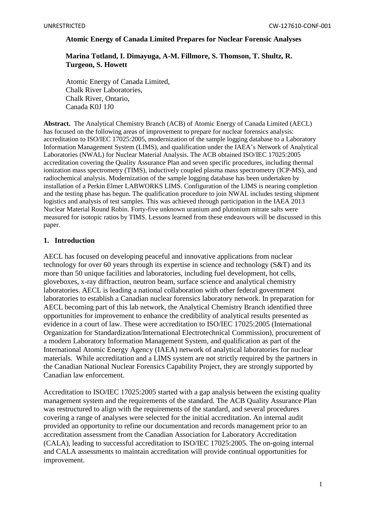### **Atomic Energy of Canada Limited Prepares for Nuclear Forensic Analyses**

# **Marina Totland, I. Dimayuga, A-M. Fillmore, S. Thomson, T. Shultz, R. Turgeon, S. Howett**

Atomic Energy of Canada Limited, Chalk River Laboratories, Chalk River, Ontario, Canada K0J 1J0

**Abstract.** The Analytical Chemistry Branch (ACB) of Atomic Energy of Canada Limited (AECL) has focused on the following areas of improvement to prepare for nuclear forensics analysis: accreditation to ISO/IEC 17025:2005, modernization of the sample logging database to a Laboratory Information Management System (LIMS), and qualification under the IAEA's Network of Analytical Laboratories (NWAL) for Nuclear Material Analysis. The ACB obtained ISO/IEC 17025:2005 accreditation covering the Quality Assurance Plan and seven specific procedures, including thermal ionization mass spectrometry (TIMS), inductively coupled plasma mass spectrometry (ICP-MS), and radiochemical analysis. Modernization of the sample logging database has been undertaken by installation of a Perkin Elmer LABWORKS LIMS. Configuration of the LIMS is nearing completion and the testing phase has begun. The qualification procedure to join NWAL includes testing shipment logistics and analysis of test samples. This was achieved through participation in the IAEA 2013 Nuclear Material Round Robin. Forty-five unknown uranium and plutonium nitrate salts were measured for isotopic ratios by TIMS. Lessons learned from these endeavours will be discussed in this paper.

## **1. Introduction**

AECL has focused on developing peaceful and innovative applications from nuclear technology for over 60 years through its expertise in science and technology (S&T) and its more than 50 unique facilities and laboratories, including fuel development, hot cells, gloveboxes, x-ray diffraction, neutron beam, surface science and analytical chemistry laboratories. AECL is leading a national collaboration with other federal government laboratories to establish a Canadian nuclear forensics laboratory network. In preparation for AECL becoming part of this lab network, the Analytical Chemistry Branch identified three opportunities for improvement to enhance the credibility of analytical results presented as evidence in a court of law. These were accreditation to ISO/IEC 17025:2005 (International Organization for Standardization/International Electrotechnical Commission), procurement of a modern Laboratory Information Management System, and qualification as part of the International Atomic Energy Agency (IAEA) network of analytical laboratories for nuclear materials. While accreditation and a LIMS system are not strictly required by the partners in the Canadian National Nuclear Forensics Capability Project, they are strongly supported by Canadian law enforcement.

Accreditation to ISO/IEC 17025:2005 started with a gap analysis between the existing quality management system and the requirements of the standard. The ACB Quality Assurance Plan was restructured to align with the requirements of the standard, and several procedures covering a range of analyses were selected for the initial accreditation. An internal audit provided an opportunity to refine our documentation and records management prior to an accreditation assessment from the Canadian Association for Laboratory Accreditation (CALA), leading to successful accreditation to ISO/IEC 17025:2005. The on-going internal and CALA assessments to maintain accreditation will provide continual opportunities for improvement.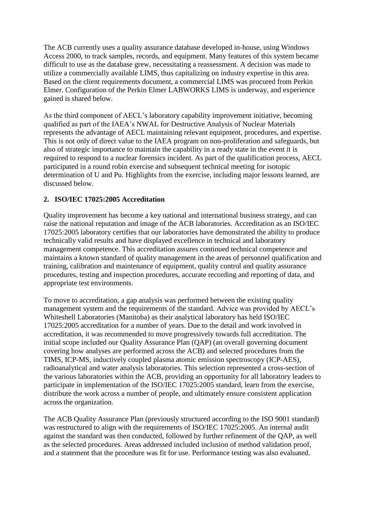The ACB currently uses a quality assurance database developed in-house, using Windows Access 2000, to track samples, records, and equipment. Many features of this system became difficult to use as the database grew, necessitating a reassessment. A decision was made to utilize a commercially available LIMS, thus capitalizing on industry expertise in this area. Based on the client requirements document, a commercial LIMS was procured from Perkin Elmer. Configuration of the Perkin Elmer LABWORKS LIMS is underway, and experience gained is shared below.

As the third component of AECL's laboratory capability improvement initiative, becoming qualified as part of the IAEA's NWAL for Destructive Analysis of Nuclear Materials represents the advantage of AECL maintaining relevant equipment, procedures, and expertise. This is not only of direct value to the IAEA program on non-proliferation and safeguards, but also of strategic importance to maintain the capability in a ready state in the event it is required to respond to a nuclear forensics incident. As part of the qualification process, AECL participated in a round robin exercise and subsequent technical meeting for isotopic determination of U and Pu. Highlights from the exercise, including major lessons learned, are discussed below.

# **2. ISO/IEC 17025:2005 Accreditation**

Quality improvement has become a key national and international business strategy, and can raise the national reputation and image of the ACB laboratories. Accreditation as an ISO/IEC 17025:2005 laboratory certifies that our laboratories have demonstrated the ability to produce technically valid results and have displayed excellence in technical and laboratory management competence. This accreditation assures continued technical competence and maintains a known standard of quality management in the areas of personnel qualification and training, calibration and maintenance of equipment, quality control and quality assurance procedures, testing and inspection procedures, accurate recording and reporting of data, and appropriate test environments.

To move to accreditation, a gap analysis was performed between the existing quality management system and the requirements of the standard. Advice was provided by AECL's Whiteshell Laboratories (Manitoba) as their analytical laboratory has held ISO/IEC 17025:2005 accreditation for a number of years. Due to the detail and work involved in accreditation, it was recommended to move progressively towards full accreditation. The initial scope included our Quality Assurance Plan (QAP) (an overall governing document covering how analyses are performed across the ACB) and selected procedures from the TIMS, ICP-MS, inductively coupled plasma atomic emission spectroscopy (ICP-AES), radioanalytical and water analysis laboratories. This selection represented a cross-section of the various laboratories within the ACB, providing an opportunity for all laboratory leaders to participate in implementation of the ISO/IEC 17025:2005 standard, learn from the exercise, distribute the work across a number of people, and ultimately ensure consistent application across the organization.

The ACB Quality Assurance Plan (previously structured according to the ISO 9001 standard) was restructured to align with the requirements of ISO/IEC 17025:2005. An internal audit against the standard was then conducted, followed by further refinement of the QAP, as well as the selected procedures. Areas addressed included inclusion of method validation proof, and a statement that the procedure was fit for use. Performance testing was also evaluated.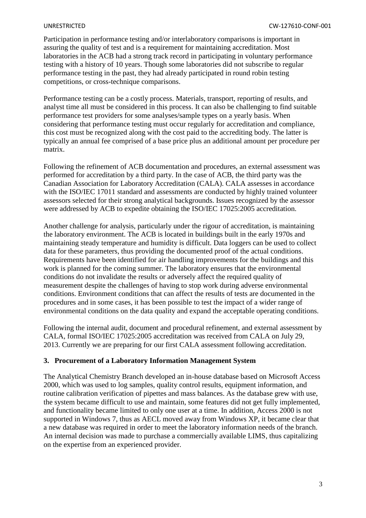Participation in performance testing and/or interlaboratory comparisons is important in assuring the quality of test and is a requirement for maintaining accreditation. Most laboratories in the ACB had a strong track record in participating in voluntary performance testing with a history of 10 years. Though some laboratories did not subscribe to regular performance testing in the past, they had already participated in round robin testing competitions, or cross-technique comparisons.

Performance testing can be a costly process. Materials, transport, reporting of results, and analyst time all must be considered in this process. It can also be challenging to find suitable performance test providers for some analyses/sample types on a yearly basis. When considering that performance testing must occur regularly for accreditation and compliance, this cost must be recognized along with the cost paid to the accrediting body. The latter is typically an annual fee comprised of a base price plus an additional amount per procedure per matrix.

Following the refinement of ACB documentation and procedures, an external assessment was performed for accreditation by a third party. In the case of ACB, the third party was the Canadian Association for Laboratory Accreditation (CALA). CALA assesses in accordance with the ISO/IEC 17011 standard and assessments are conducted by highly trained volunteer assessors selected for their strong analytical backgrounds. Issues recognized by the assessor were addressed by ACB to expedite obtaining the ISO/IEC 17025:2005 accreditation.

Another challenge for analysis, particularly under the rigour of accreditation, is maintaining the laboratory environment. The ACB is located in buildings built in the early 1970s and maintaining steady temperature and humidity is difficult. Data loggers can be used to collect data for these parameters, thus providing the documented proof of the actual conditions. Requirements have been identified for air handling improvements for the buildings and this work is planned for the coming summer. The laboratory ensures that the environmental conditions do not invalidate the results or adversely affect the required quality of measurement despite the challenges of having to stop work during adverse environmental conditions. Environment conditions that can affect the results of tests are documented in the procedures and in some cases, it has been possible to test the impact of a wider range of environmental conditions on the data quality and expand the acceptable operating conditions.

Following the internal audit, document and procedural refinement, and external assessment by CALA, formal ISO/IEC 17025:2005 accreditation was received from CALA on July 29, 2013. Currently we are preparing for our first CALA assessment following accreditation.

## **3. Procurement of a Laboratory Information Management System**

The Analytical Chemistry Branch developed an in-house database based on Microsoft Access 2000, which was used to log samples, quality control results, equipment information, and routine calibration verification of pipettes and mass balances. As the database grew with use, the system became difficult to use and maintain, some features did not get fully implemented, and functionality became limited to only one user at a time. In addition, Access 2000 is not supported in Windows 7, thus as AECL moved away from Windows XP, it became clear that a new database was required in order to meet the laboratory information needs of the branch. An internal decision was made to purchase a commercially available LIMS, thus capitalizing on the expertise from an experienced provider.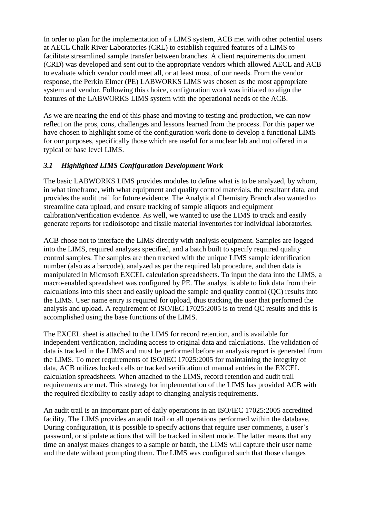In order to plan for the implementation of a LIMS system, ACB met with other potential users at AECL Chalk River Laboratories (CRL) to establish required features of a LIMS to facilitate streamlined sample transfer between branches. A client requirements document (CRD) was developed and sent out to the appropriate vendors which allowed AECL and ACB to evaluate which vendor could meet all, or at least most, of our needs. From the vendor response, the Perkin Elmer (PE) LABWORKS LIMS was chosen as the most appropriate system and vendor. Following this choice, configuration work was initiated to align the features of the LABWORKS LIMS system with the operational needs of the ACB.

As we are nearing the end of this phase and moving to testing and production, we can now reflect on the pros, cons, challenges and lessons learned from the process. For this paper we have chosen to highlight some of the configuration work done to develop a functional LIMS for our purposes, specifically those which are useful for a nuclear lab and not offered in a typical or base level LIMS.

# *3.1 Highlighted LIMS Configuration Development Work*

The basic LABWORKS LIMS provides modules to define what is to be analyzed, by whom, in what timeframe, with what equipment and quality control materials, the resultant data, and provides the audit trail for future evidence. The Analytical Chemistry Branch also wanted to streamline data upload, and ensure tracking of sample aliquots and equipment calibration/verification evidence. As well, we wanted to use the LIMS to track and easily generate reports for radioisotope and fissile material inventories for individual laboratories.

ACB chose not to interface the LIMS directly with analysis equipment. Samples are logged into the LIMS, required analyses specified, and a batch built to specify required quality control samples. The samples are then tracked with the unique LIMS sample identification number (also as a barcode), analyzed as per the required lab procedure, and then data is manipulated in Microsoft EXCEL calculation spreadsheets. To input the data into the LIMS, a macro-enabled spreadsheet was configured by PE. The analyst is able to link data from their calculations into this sheet and easily upload the sample and quality control (QC) results into the LIMS. User name entry is required for upload, thus tracking the user that performed the analysis and upload. A requirement of ISO/IEC 17025:2005 is to trend QC results and this is accomplished using the base functions of the LIMS.

The EXCEL sheet is attached to the LIMS for record retention, and is available for independent verification, including access to original data and calculations. The validation of data is tracked in the LIMS and must be performed before an analysis report is generated from the LIMS. To meet requirements of ISO/IEC 17025:2005 for maintaining the integrity of data, ACB utilizes locked cells or tracked verification of manual entries in the EXCEL calculation spreadsheets. When attached to the LIMS, record retention and audit trail requirements are met. This strategy for implementation of the LIMS has provided ACB with the required flexibility to easily adapt to changing analysis requirements.

An audit trail is an important part of daily operations in an ISO/IEC 17025:2005 accredited facility. The LIMS provides an audit trail on all operations performed within the database. During configuration, it is possible to specify actions that require user comments, a user's password, or stipulate actions that will be tracked in silent mode. The latter means that any time an analyst makes changes to a sample or batch, the LIMS will capture their user name and the date without prompting them. The LIMS was configured such that those changes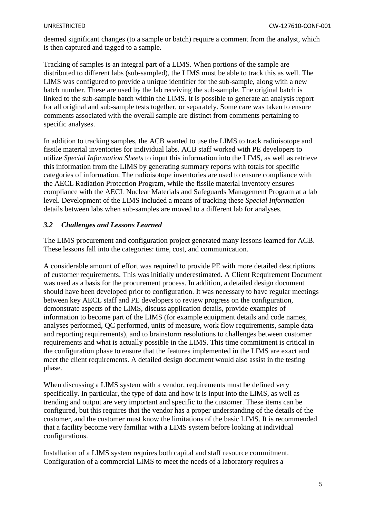deemed significant changes (to a sample or batch) require a comment from the analyst, which is then captured and tagged to a sample.

Tracking of samples is an integral part of a LIMS. When portions of the sample are distributed to different labs (sub-sampled), the LIMS must be able to track this as well. The LIMS was configured to provide a unique identifier for the sub-sample, along with a new batch number. These are used by the lab receiving the sub-sample. The original batch is linked to the sub-sample batch within the LIMS. It is possible to generate an analysis report for all original and sub-sample tests together, or separately. Some care was taken to ensure comments associated with the overall sample are distinct from comments pertaining to specific analyses.

In addition to tracking samples, the ACB wanted to use the LIMS to track radioisotope and fissile material inventories for individual labs. ACB staff worked with PE developers to utilize *Special Information Sheets* to input this information into the LIMS, as well as retrieve this information from the LIMS by generating summary reports with totals for specific categories of information. The radioisotope inventories are used to ensure compliance with the AECL Radiation Protection Program, while the fissile material inventory ensures compliance with the AECL Nuclear Materials and Safeguards Management Program at a lab level. Development of the LIMS included a means of tracking these *Special Information* details between labs when sub-samples are moved to a different lab for analyses.

## *3.2 Challenges and Lessons Learned*

The LIMS procurement and configuration project generated many lessons learned for ACB. These lessons fall into the categories: time, cost, and communication.

A considerable amount of effort was required to provide PE with more detailed descriptions of customer requirements. This was initially underestimated. A Client Requirement Document was used as a basis for the procurement process. In addition, a detailed design document should have been developed prior to configuration. It was necessary to have regular meetings between key AECL staff and PE developers to review progress on the configuration, demonstrate aspects of the LIMS, discuss application details, provide examples of information to become part of the LIMS (for example equipment details and code names, analyses performed, QC performed, units of measure, work flow requirements, sample data and reporting requirements), and to brainstorm resolutions to challenges between customer requirements and what is actually possible in the LIMS. This time commitment is critical in the configuration phase to ensure that the features implemented in the LIMS are exact and meet the client requirements. A detailed design document would also assist in the testing phase.

When discussing a LIMS system with a vendor, requirements must be defined very specifically. In particular, the type of data and how it is input into the LIMS, as well as trending and output are very important and specific to the customer. These items can be configured, but this requires that the vendor has a proper understanding of the details of the customer, and the customer must know the limitations of the basic LIMS. It is recommended that a facility become very familiar with a LIMS system before looking at individual configurations.

Installation of a LIMS system requires both capital and staff resource commitment. Configuration of a commercial LIMS to meet the needs of a laboratory requires a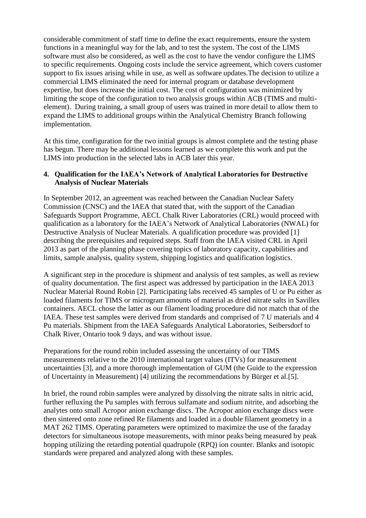considerable commitment of staff time to define the exact requirements, ensure the system functions in a meaningful way for the lab, and to test the system. The cost of the LIMS software must also be considered, as well as the cost to have the vendor configure the LIMS to specific requirements. Ongoing costs include the service agreement, which covers customer support to fix issues arising while in use, as well as software updates.The decision to utilize a commercial LIMS eliminated the need for internal program or database development expertise, but does increase the initial cost. The cost of configuration was minimized by limiting the scope of the configuration to two analysis groups within ACB (TIMS and multielement). During training, a small group of users was trained in more detail to allow them to expand the LIMS to additional groups within the Analytical Chemistry Branch following implementation.

At this time, configuration for the two initial groups is almost complete and the testing phase has begun. There may be additional lessons learned as we complete this work and put the LIMS into production in the selected labs in ACB later this year.

# **4. Qualification for the IAEA's Network of Analytical Laboratories for Destructive Analysis of Nuclear Materials**

In September 2012, an agreement was reached between the Canadian Nuclear Safety Commission (CNSC) and the IAEA that stated that, with the support of the Canadian Safeguards Support Programme, AECL Chalk River Laboratories (CRL) would proceed with qualification as a laboratory for the IAEA's Network of Analytical Laboratories (NWAL) for Destructive Analysis of Nuclear Materials. A qualification procedure was provided [\[1\]](#page-9-0) describing the prerequisites and required steps. Staff from the IAEA visited CRL in April 2013 as part of the planning phase covering topics of laboratory capacity, capabilities and limits, sample analysis, quality system, shipping logistics and qualification logistics.

A significant step in the procedure is shipment and analysis of test samples, as well as review of quality documentation. The first aspect was addressed by participation in the IAEA 2013 Nuclear Material Round Robin [\[2\]](#page-9-1). Participating labs received 45 samples of U or Pu either as loaded filaments for TIMS or microgram amounts of material as dried nitrate salts in Savillex containers. AECL chose the latter as our filament loading procedure did not match that of the IAEA. These test samples were derived from standards and comprised of 7 U materials and 4 Pu materials. Shipment from the IAEA Safeguards Analytical Laboratories, Seibersdorf to Chalk River, Ontario took 9 days, and was without issue.

Preparations for the round robin included assessing the uncertainty of our TIMS measurements relative to the 2010 international target values (ITVs) for measurement uncertainties [\[3\]](#page-9-2), and a more thorough implementation of GUM (the Guide to the expression of Uncertainty in Measurement) [\[4\]](#page-9-3) utilizing the recommendations by Bürger et al[.\[5\]](#page-9-4).

In brief, the round robin samples were analyzed by dissolving the nitrate salts in nitric acid, further refluxing the Pu samples with ferrous sulfamate and sodium nitrite, and adsorbing the analytes onto small Acropor anion exchange discs. The Acropor anion exchange discs were then sintered onto zone refined Re filaments and loaded in a double filament geometry in a MAT 262 TIMS. Operating parameters were optimized to maximize the use of the faraday detectors for simultaneous isotope measurements, with minor peaks being measured by peak hopping utilizing the retarding potential quadrupole (RPQ) ion counter. Blanks and isotopic standards were prepared and analyzed along with these samples.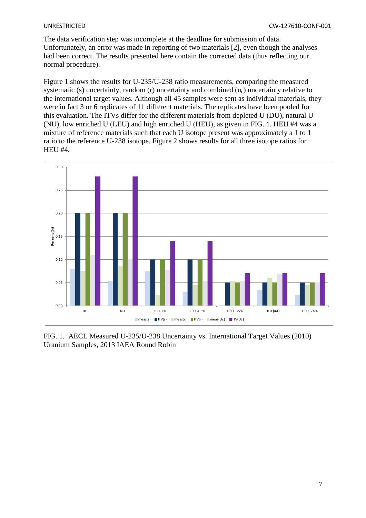The data verification step was incomplete at the deadline for submission of data. Unfortunately, an error was made in reporting of two materials [\[2\]](#page-9-1), even though the analyses had been correct. The results presented here contain the corrected data (thus reflecting our normal procedure).

Figure 1 shows the results for U-235/U-238 ratio measurements, comparing the measured systematic (s) uncertainty, random (r) uncertainty and combined  $(u<sub>c</sub>)$  uncertainty relative to the international target values. Although all 45 samples were sent as individual materials, they were in fact 3 or 6 replicates of 11 different materials. The replicates have been pooled for this evaluation. The ITVs differ for the different materials from depleted U (DU), natural U (NU), low enriched U (LEU) and high enriched U (HEU), as given in [FIG.](#page-6-0) 1. HEU #4 was a mixture of reference materials such that each U isotope present was approximately a 1 to 1 ratio to the reference U-238 isotope. Figure 2 shows results for all three isotope ratios for HEU #4.



<span id="page-6-0"></span>FIG. 1. AECL Measured U-235/U-238 Uncertainty vs. International Target Values (2010) Uranium Samples, 2013 IAEA Round Robin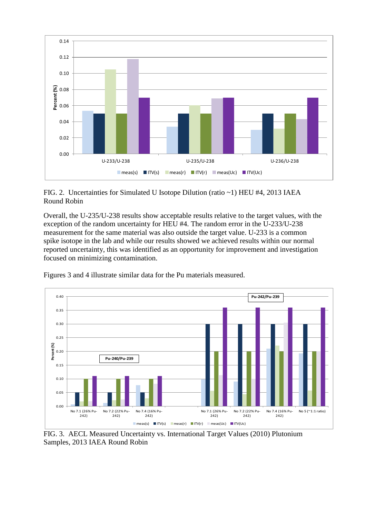

FIG. 2. Uncertainties for Simulated U Isotope Dilution (ratio ~1) HEU #4, 2013 IAEA Round Robin

Overall, the U-235/U-238 results show acceptable results relative to the target values, with the exception of the random uncertainty for HEU #4. The random error in the U-233/U-238 measurement for the same material was also outside the target value. U-233 is a common spike isotope in the lab and while our results showed we achieved results within our normal reported uncertainty, this was identified as an opportunity for improvement and investigation focused on minimizing contamination.





FIG. 3. AECL Measured Uncertainty vs. International Target Values (2010) Plutonium Samples, 2013 IAEA Round Robin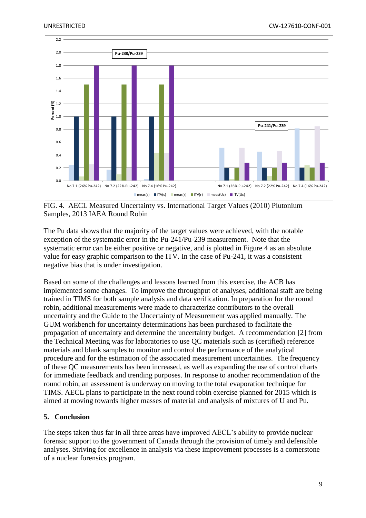

FIG. 4. AECL Measured Uncertainty vs. International Target Values (2010) Plutonium Samples, 2013 IAEA Round Robin

The Pu data shows that the majority of the target values were achieved, with the notable exception of the systematic error in the Pu-241/Pu-239 measurement. Note that the systematic error can be either positive or negative, and is plotted in Figure 4 as an absolute value for easy graphic comparison to the ITV. In the case of Pu-241, it was a consistent negative bias that is under investigation.

Based on some of the challenges and lessons learned from this exercise, the ACB has implemented some changes. To improve the throughput of analyses, additional staff are being trained in TIMS for both sample analysis and data verification. In preparation for the round robin, additional measurements were made to characterize contributors to the overall uncertainty and the Guide to the Uncertainty of Measurement was applied manually. The GUM workbench for uncertainty determinations has been purchased to facilitate the propagation of uncertainty and determine the uncertainty budget. A recommendation [\[2\]](#page-9-1) from the Technical Meeting was for laboratories to use QC materials such as (certified) reference materials and blank samples to monitor and control the performance of the analytical procedure and for the estimation of the associated measurement uncertainties. The frequency of these QC measurements has been increased, as well as expanding the use of control charts for immediate feedback and trending purposes. In response to another recommendation of the round robin, an assessment is underway on moving to the total evaporation technique for TIMS. AECL plans to participate in the next round robin exercise planned for 2015 which is aimed at moving towards higher masses of material and analysis of mixtures of U and Pu.

# **5. Conclusion**

The steps taken thus far in all three areas have improved AECL's ability to provide nuclear forensic support to the government of Canada through the provision of timely and defensible analyses. Striving for excellence in analysis via these improvement processes is a cornerstone of a nuclear forensics program.